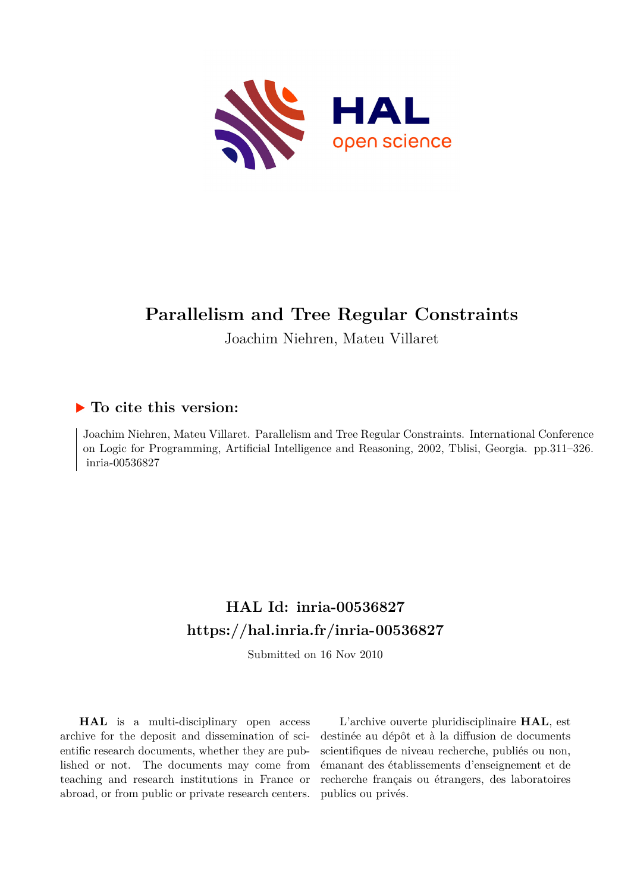

# **Parallelism and Tree Regular Constraints**

Joachim Niehren, Mateu Villaret

## **To cite this version:**

Joachim Niehren, Mateu Villaret. Parallelism and Tree Regular Constraints. International Conference on Logic for Programming, Artificial Intelligence and Reasoning, 2002, Tblisi, Georgia. pp.311–326. inria-00536827

## **HAL Id: inria-00536827 <https://hal.inria.fr/inria-00536827>**

Submitted on 16 Nov 2010

**HAL** is a multi-disciplinary open access archive for the deposit and dissemination of scientific research documents, whether they are published or not. The documents may come from teaching and research institutions in France or abroad, or from public or private research centers.

L'archive ouverte pluridisciplinaire **HAL**, est destinée au dépôt et à la diffusion de documents scientifiques de niveau recherche, publiés ou non, émanant des établissements d'enseignement et de recherche français ou étrangers, des laboratoires publics ou privés.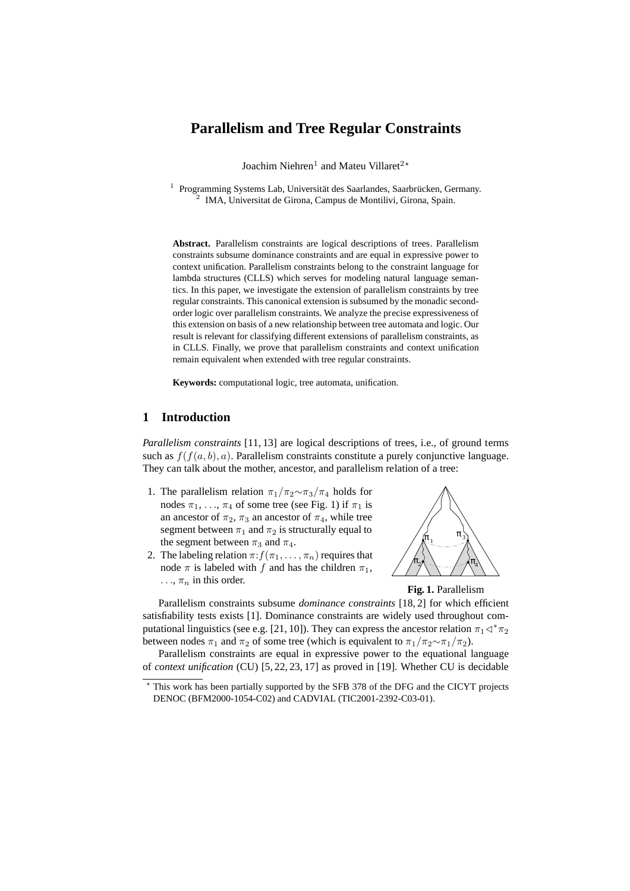## **Parallelism and Tree Regular Constraints**

Joachim Niehren<sup>1</sup> and Mateu Villaret<sup>2</sup>\*

<sup>1</sup> Programming Systems Lab, Universität des Saarlandes, Saarbrücken, Germany. 2 IMA, Universitat de Girona, Campus de Montilivi, Girona, Spain.

**Abstract.** Parallelism constraints are logical descriptions of trees. Parallelism constraints subsume dominance constraints and are equal in expressive power to context unification. Parallelism constraints belong to the constraint language for lambda structures (CLLS) which serves for modeling natural language semantics. In this paper, we investigate the extension of parallelism constraints by tree regular constraints. This canonical extension is subsumed by the monadic secondorder logic over parallelism constraints. We analyze the precise expressiveness of this extension on basis of a new relationship between tree automata and logic. Our result is relevant for classifying different extensions of parallelism constraints, as in CLLS. Finally, we prove that parallelism constraints and context unification remain equivalent when extended with tree regular constraints.

**Keywords:** computational logic, tree automata, unification.

## **1 Introduction**

*Parallelism constraints* [11, 13] are logical descriptions of trees, i.e., of ground terms such as  $f(f(a, b), a)$ . Parallelism constraints constitute a purely conjunctive language. They can talk about the mother, ancestor, and parallelism relation of a tree:

- 1. The parallelism relation  $\pi_1/\pi_2 \sim \pi_3/\pi_4$  holds for nodes  $\pi_1, \ldots, \pi_4$  of some tree (see Fig. 1) if  $\pi_1$  is an ancestor of  $\pi_2$ ,  $\pi_3$  an ancestor of  $\pi_4$ , while tree segment between  $\pi_1$  and  $\pi_2$  is structurally equal to the segment between  $\pi_3$  and  $\pi_4$ .
- 2. The labeling relation  $\pi: f(\pi_1, \ldots, \pi_n)$  requires that node  $\pi$  is labeled with f and has the children  $\pi_1$ ,  $\ldots$ ,  $\pi_n$  in this order.





Parallelism constraints subsume *dominance constraints* [18, 2] for which efficient satisfiability tests exists [1]. Dominance constraints are widely used throughout computational linguistics (see e.g. [21, 10]). They can express the ancestor relation  $\pi_1\triangleleft^*\pi_2$ between nodes  $\pi_1$  and  $\pi_2$  of some tree (which is equivalent to  $\pi_1/\pi_2 \sim \pi_1/\pi_2$ ).

Parallelism constraints are equal in expressive power to the equational language of *context unification* (CU) [5, 22, 23, 17] as proved in [19]. Whether CU is decidable

This work has been partially supported by the SFB 378 of the DFG and the CICYT projects DENOC (BFM2000-1054-C02) and CADVIAL (TIC2001-2392-C03-01).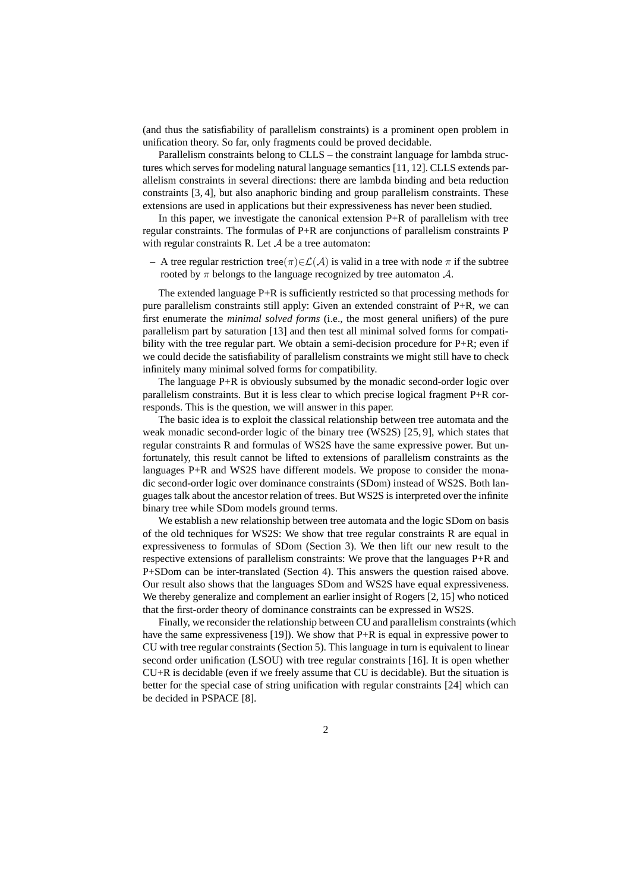(and thus the satisfiability of parallelism constraints) is a prominent open problem in unification theory. So far, only fragments could be proved decidable.

Parallelism constraints belong to CLLS – the constraint language for lambda structures which serves for modeling natural language semantics [11, 12]. CLLS extends parallelism constraints in several directions: there are lambda binding and beta reduction constraints [3, 4], but also anaphoric binding and group parallelism constraints. These extensions are used in applications but their expressiveness has never been studied.

In this paper, we investigate the canonical extension P+R of parallelism with tree regular constraints. The formulas of P+R are conjunctions of parallelism constraints P with regular constraints R. Let  $A$  be a tree automaton:

 $-$  A tree regular restriction tree(π)∈ $\mathcal{L}(\mathcal{A})$  is valid in a tree with node π if the subtree rooted by  $\pi$  belongs to the language recognized by tree automaton  $\mathcal{A}$ .

The extended language P+R is sufficiently restricted so that processing methods for pure parallelism constraints still apply: Given an extended constraint of P+R, we can first enumerate the *minimal solved forms* (i.e., the most general unifiers) of the pure parallelism part by saturation [13] and then test all minimal solved forms for compatibility with the tree regular part. We obtain a semi-decision procedure for  $P+R$ ; even if we could decide the satisfiability of parallelism constraints we might still have to check infinitely many minimal solved forms for compatibility.

The language P+R is obviously subsumed by the monadic second-order logic over parallelism constraints. But it is less clear to which precise logical fragment P+R corresponds. This is the question, we will answer in this paper.

The basic idea is to exploit the classical relationship between tree automata and the weak monadic second-order logic of the binary tree (WS2S) [25, 9], which states that regular constraints R and formulas of WS2S have the same expressive power. But unfortunately, this result cannot be lifted to extensions of parallelism constraints as the languages P+R and WS2S have different models. We propose to consider the monadic second-order logic over dominance constraints (SDom) instead of WS2S. Both languages talk about the ancestor relation of trees. But WS2S is interpreted over the infinite binary tree while SDom models ground terms.

We establish a new relationship between tree automata and the logic SDom on basis of the old techniques for WS2S: We show that tree regular constraints R are equal in expressiveness to formulas of SDom (Section 3). We then lift our new result to the respective extensions of parallelism constraints: We prove that the languages P+R and P+SDom can be inter-translated (Section 4). This answers the question raised above. Our result also shows that the languages SDom and WS2S have equal expressiveness. We thereby generalize and complement an earlier insight of Rogers [2, 15] who noticed that the first-order theory of dominance constraints can be expressed in WS2S.

Finally, we reconsider the relationship between CU and parallelism constraints (which have the same expressiveness [19]). We show that P+R is equal in expressive power to CU with tree regular constraints (Section 5). This language in turn is equivalent to linear second order unification (LSOU) with tree regular constraints [16]. It is open whether CU+R is decidable (even if we freely assume that CU is decidable). But the situation is better for the special case of string unification with regular constraints [24] which can be decided in PSPACE [8].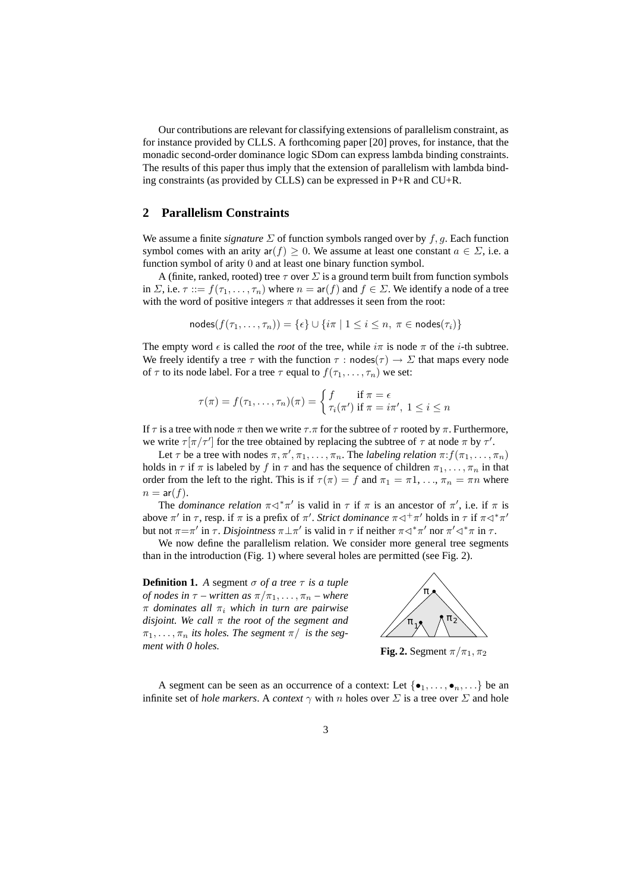Our contributions are relevant for classifying extensions of parallelism constraint, as for instance provided by CLLS. A forthcoming paper [20] proves, for instance, that the monadic second-order dominance logic SDom can express lambda binding constraints. The results of this paper thus imply that the extension of parallelism with lambda binding constraints (as provided by CLLS) can be expressed in P+R and CU+R.

### **2 Parallelism Constraints**

We assume a finite *signature*  $\Sigma$  of function symbols ranged over by f, g. Each function symbol comes with an arity  $ar(f) \ge 0$ . We assume at least one constant  $a \in \Sigma$ , i.e. a function symbol of arity 0 and at least one binary function symbol.

A (finite, ranked, rooted) tree  $\tau$  over  $\Sigma$  is a ground term built from function symbols in  $\Sigma$ , i.e.  $\tau ::= f(\tau_1, \ldots, \tau_n)$  where  $n = \text{ar}(f)$  and  $f \in \Sigma$ . We identify a node of a tree with the word of positive integers  $\pi$  that addresses it seen from the root:

$$
\mathsf{nodes}(f(\tau_1, \ldots, \tau_n)) = \{\epsilon\} \cup \{i\pi \mid 1 \leq i \leq n, \ \pi \in \mathsf{nodes}(\tau_i)\}\
$$

The empty word  $\epsilon$  is called the *root* of the tree, while  $i\pi$  is node  $\pi$  of the *i*-th subtree. We freely identify a tree  $\tau$  with the function  $\tau$  : nodes $(\tau) \to \Sigma$  that maps every node of  $\tau$  to its node label. For a tree  $\tau$  equal to  $f(\tau_1, \ldots, \tau_n)$  we set:

$$
\tau(\pi) = f(\tau_1, \dots, \tau_n)(\pi) = \begin{cases} f & \text{if } \pi = \epsilon \\ \tau_i(\pi') & \text{if } \pi = i\pi', \ 1 \leq i \leq n \end{cases}
$$

If  $\tau$  is a tree with node  $\pi$  then we write  $\tau.\pi$  for the subtree of  $\tau$  rooted by  $\pi$ . Furthermore, we write  $\tau[\pi/\tau']$  for the tree obtained by replacing the subtree of  $\tau$  at node  $\pi$  by  $\tau'$ .

Let  $\tau$  be a tree with nodes  $\pi, \pi', \pi_1, \ldots, \pi_n$ . The *labeling relation*  $\pi: f(\pi_1, \ldots, \pi_n)$ holds in  $\tau$  if  $\pi$  is labeled by f in  $\tau$  and has the sequence of children  $\pi_1, \ldots, \pi_n$  in that order from the left to the right. This is if  $\tau(\pi) = f$  and  $\pi_1 = \pi 1, \ldots, \pi_n = \pi n$  where  $n = ar(f)$ .

The *dominance relation*  $\pi \triangleleft^* \pi'$  is valid in  $\tau$  if  $\pi$  is an ancestor of  $\pi'$ , i.e. if  $\pi$  is above  $\pi'$  in  $\tau$ , resp. if  $\pi$  is a prefix of  $\pi'$ . *Strict dominance*  $\pi \lhd^+\pi'$  holds in  $\tau$  if  $\pi \lhd^*\pi'$ but not  $\pi = \pi'$  in  $\tau$ . *Disjointness*  $\pi \perp \pi'$  is valid in  $\tau$  if neither  $\pi \lhd^* \pi'$  nor  $\pi' \lhd^* \pi$  in  $\tau$ .

We now define the parallelism relation. We consider more general tree segments than in the introduction (Fig. 1) where several holes are permitted (see Fig. 2).

**Definition 1.** *A* segment  $\sigma$  *of a tree*  $\tau$  *is a tuple of nodes in*  $\tau$  *– written as*  $\pi/\pi_1, \ldots, \pi_n$  *– where* π *dominates all* π<sup>i</sup> *which in turn are pairwise disjoint. We call* π *the root of the segment and*  $\pi_1, \ldots, \pi_n$  *its holes. The segment*  $\pi$  *is the segment with 0 holes.*



**Fig. 2.** Segment  $\pi/\pi_1, \pi_2$ 

A segment can be seen as an occurrence of a context: Let  $\{\bullet_1, \ldots, \bullet_n, \ldots\}$  be an infinite set of *hole markers*. A *context*  $\gamma$  with n holes over  $\Sigma$  is a tree over  $\Sigma$  and hole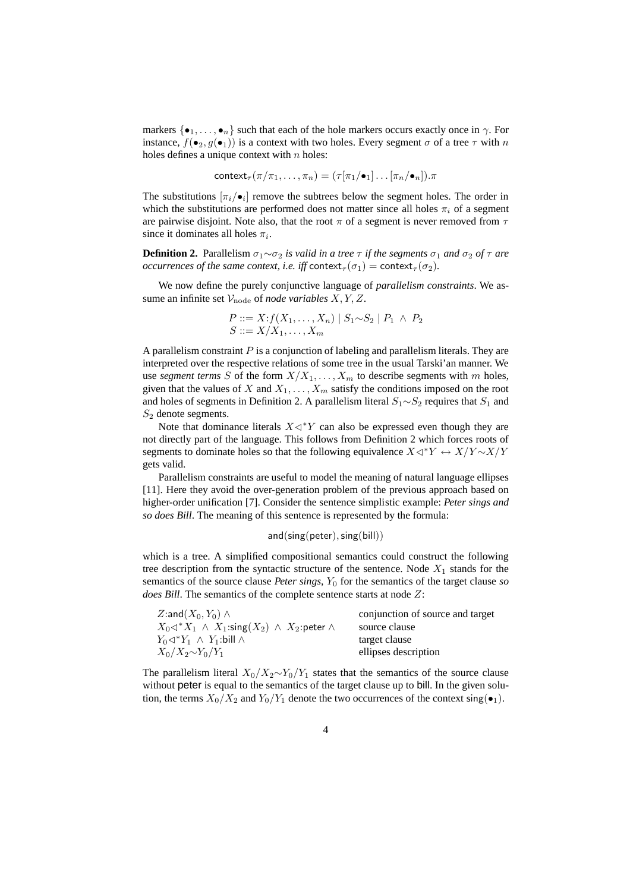markers  $\{\bullet_1, \ldots, \bullet_n\}$  such that each of the hole markers occurs exactly once in  $\gamma$ . For instance,  $f(\bullet_2, g(\bullet_1))$  is a context with two holes. Every segment  $\sigma$  of a tree  $\tau$  with  $n$ holes defines a unique context with  $n$  holes:

$$
\mathsf{context}_{\tau}(\pi/\pi_1,\ldots,\pi_n)=(\tau[\pi_1/\bullet_1]\ldots[\pi_n/\bullet_n]).\pi
$$

The substitutions  $[\pi_i/\bullet_i]$  remove the subtrees below the segment holes. The order in which the substitutions are performed does not matter since all holes  $\pi_i$  of a segment are pairwise disjoint. Note also, that the root  $\pi$  of a segment is never removed from  $\tau$ since it dominates all holes  $\pi_i$ .

**Definition 2.** Parallelism  $σ₁∼σ₂$  *is valid in a tree*  $τ$  *if the segments*  $σ₁$  *and*  $σ₂$  *of*  $τ$  *are occurrences of the same context, i.e. iff* context<sub> $\tau$ </sub>( $\sigma$ <sub>1</sub>) = context<sub> $\tau$ </sub>( $\sigma$ <sub>2</sub>)*.* 

We now define the purely conjunctive language of *parallelism constraints*. We assume an infinite set  $V_{\text{node}}$  of *node variables*  $X, Y, Z$ .

$$
P ::= X : f(X_1, ..., X_n) | S_1 \sim S_2 | P_1 \land P_2
$$
  

$$
S ::= X/X_1, ..., X_m
$$

A parallelism constraint  $P$  is a conjunction of labeling and parallelism literals. They are interpreted over the respective relations of some tree in the usual Tarski'an manner. We use *segment terms* S of the form  $X/X_1, \ldots, X_m$  to describe segments with m holes, given that the values of X and  $X_1, \ldots, X_m$  satisfy the conditions imposed on the root and holes of segments in Definition 2. A parallelism literal  $S_1 \sim S_2$  requires that  $S_1$  and  $S_2$  denote segments.

Note that dominance literals  $X \triangleleft^* Y$  can also be expressed even though they are not directly part of the language. This follows from Definition 2 which forces roots of segments to dominate holes so that the following equivalence  $X\lhd$ <sup>∗</sup> $Y \leftrightarrow X/Y \sim X/Y$ gets valid.

Parallelism constraints are useful to model the meaning of natural language ellipses [11]. Here they avoid the over-generation problem of the previous approach based on higher-order unification [7]. Consider the sentence simplistic example: *Peter sings and so does Bill*. The meaning of this sentence is represented by the formula:

and(sing(peter),sing(bill))

which is a tree. A simplified compositional semantics could construct the following tree description from the syntactic structure of the sentence. Node  $X_1$  stands for the semantics of the source clause *Peter sings*,  $Y_0$  for the semantics of the target clause *so does Bill*. The semantics of the complete sentence starts at node Z:

| Z:and $(X_0, Y_0) \wedge$                                            | conjunction of source and target |
|----------------------------------------------------------------------|----------------------------------|
| $X_0 \lhd^* X_1 \wedge X_1$ :sing $(X_2) \wedge X_2$ :peter $\wedge$ | source clause                    |
| $Y_0 \lhd^* Y_1 \wedge Y_1$ :bill $\wedge$                           | target clause                    |
| $X_0/X_2 \sim Y_0/Y_1$                                               | ellipses description             |

The parallelism literal  $X_0/X_2 \sim Y_0/Y_1$  states that the semantics of the source clause without peter is equal to the semantics of the target clause up to bill. In the given solution, the terms  $X_0/X_2$  and  $Y_0/Y_1$  denote the two occurrences of the context sing( $\bullet_1$ ).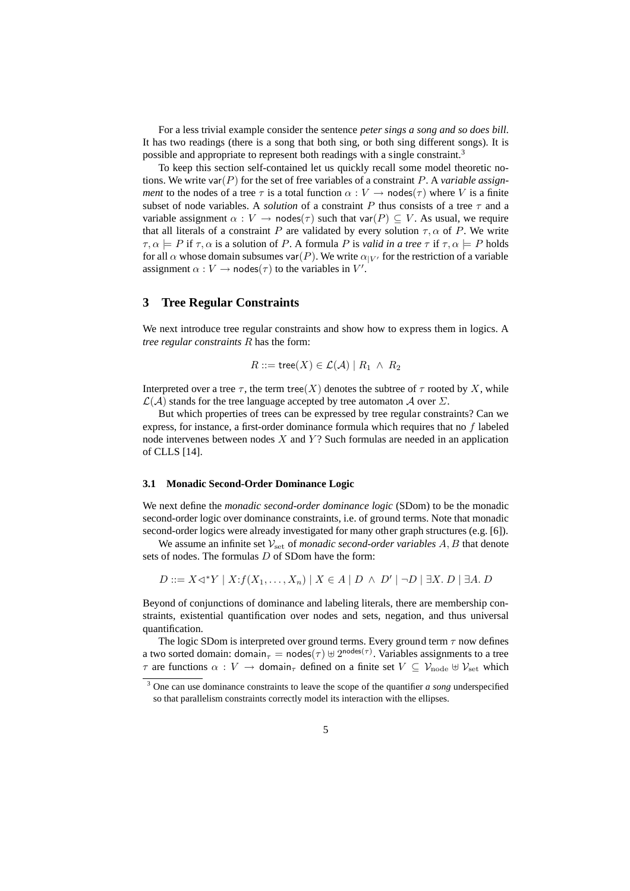For a less trivial example consider the sentence *peter sings a song and so does bill*. It has two readings (there is a song that both sing, or both sing different songs). It is possible and appropriate to represent both readings with a single constraint.<sup>3</sup>

To keep this section self-contained let us quickly recall some model theoretic notions. We write var(P) for the set of free variables of a constraint P. A *variable assignment* to the nodes of a tree  $\tau$  is a total function  $\alpha : V \to \text{nodes}(\tau)$  where V is a finite subset of node variables. A *solution* of a constraint P thus consists of a tree  $\tau$  and a variable assignment  $\alpha : V \to \text{nodes}(\tau)$  such that var $(P) \subseteq V$ . As usual, we require that all literals of a constraint P are validated by every solution  $\tau$ ,  $\alpha$  of P. We write  $\tau, \alpha \models P$  if  $\tau, \alpha$  is a solution of P. A formula P is *valid in a tree*  $\tau$  if  $\tau, \alpha \models P$  holds for all  $\alpha$  whose domain subsumes var(P). We write  $\alpha_{|V'}$  for the restriction of a variable assignment  $\alpha: V \to \text{nodes}(\tau)$  to the variables in V'.

## **3 Tree Regular Constraints**

We next introduce tree regular constraints and show how to express them in logics. A *tree regular constraints* R has the form:

$$
R ::= \mathsf{tree}(X) \in \mathcal{L}(\mathcal{A}) \mid R_1 \ \wedge \ R_2
$$

Interpreted over a tree  $\tau$ , the term tree(X) denotes the subtree of  $\tau$  rooted by X, while  $\mathcal{L}(\mathcal{A})$  stands for the tree language accepted by tree automaton  $\mathcal{A}$  over  $\Sigma$ .

But which properties of trees can be expressed by tree regular constraints? Can we express, for instance, a first-order dominance formula which requires that no  $f$  labeled node intervenes between nodes  $X$  and  $Y$ ? Such formulas are needed in an application of CLLS [14].

#### **3.1 Monadic Second-Order Dominance Logic**

We next define the *monadic second-order dominance logic* (SDom) to be the monadic second-order logic over dominance constraints, i.e. of ground terms. Note that monadic second-order logics were already investigated for many other graph structures (e.g. [6]).

We assume an infinite set  $V_{\text{set}}$  of *monadic second-order variables*  $A, B$  that denote sets of nodes. The formulas D of SDom have the form:

$$
D ::= X \triangleleft^* Y \mid X : f(X_1, \dots, X_n) \mid X \in A \mid D \land D' \mid \neg D \mid \exists X. D \mid \exists A. D
$$

Beyond of conjunctions of dominance and labeling literals, there are membership constraints, existential quantification over nodes and sets, negation, and thus universal quantification.

The logic SDom is interpreted over ground terms. Every ground term  $\tau$  now defines a two sorted domain: domain $_{\tau} = \text{nodes}(\tau) \uplus 2^{\text{nodes}(\tau)}$ . Variables assignments to a tree  $\tau$  are functions  $\alpha : V \to$  domain<sub> $\tau$ </sub> defined on a finite set  $V \subseteq V_{\text{node}} \oplus V_{\text{set}}$  which

<sup>3</sup> One can use dominance constraints to leave the scope of the quantifier *a song* underspecified so that parallelism constraints correctly model its interaction with the ellipses.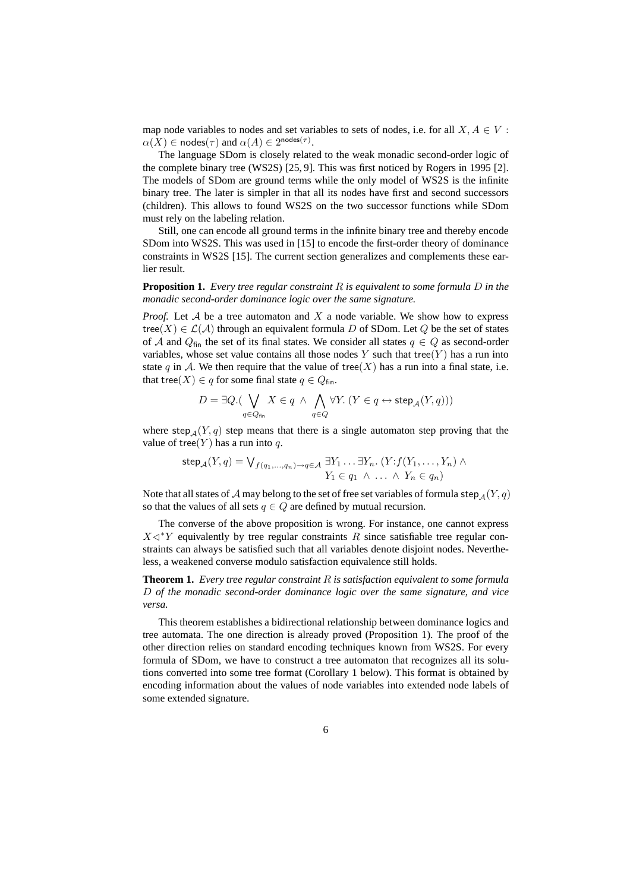map node variables to nodes and set variables to sets of nodes, i.e. for all  $X, A \in V$ :  $\alpha(X) \in \text{nodes}(\tau)$  and  $\alpha(A) \in 2^{\text{nodes}(\tau)}$ .

The language SDom is closely related to the weak monadic second-order logic of the complete binary tree (WS2S) [25, 9]. This was first noticed by Rogers in 1995 [2]. The models of SDom are ground terms while the only model of WS2S is the infinite binary tree. The later is simpler in that all its nodes have first and second successors (children). This allows to found WS2S on the two successor functions while SDom must rely on the labeling relation.

Still, one can encode all ground terms in the infinite binary tree and thereby encode SDom into WS2S. This was used in [15] to encode the first-order theory of dominance constraints in WS2S [15]. The current section generalizes and complements these earlier result.

**Proposition 1.** *Every tree regular constraint* R *is equivalent to some formula* D *in the monadic second-order dominance logic over the same signature.*

*Proof.* Let  $A$  be a tree automaton and  $X$  a node variable. We show how to express tree(X)  $\in \mathcal{L}(\mathcal{A})$  through an equivalent formula D of SDom. Let Q be the set of states of A and  $Q_{fin}$  the set of its final states. We consider all states  $q \in Q$  as second-order variables, whose set value contains all those nodes Y such that tree(Y) has a run into state q in A. We then require that the value of tree(X) has a run into a final state, i.e. that tree(X)  $\in$  q for some final state  $q \in Q_{fin}$ .

$$
D=\exists Q.(\bigvee_{q\in Q_{\mathrm{fin}}}X\in q~\wedge~\bigwedge_{q\in Q}\forall Y.~(Y\in q\leftrightarrow \mathrm{step}_{\mathcal{A}}(Y,q)))
$$

where step<sub>A</sub> $(Y, q)$  step means that there is a single automaton step proving that the value of tree(Y) has a run into q.

$$
\mathsf{step}_{\mathcal{A}}(Y, q) = \bigvee_{f(q_1, \dots, q_n) \to q \in \mathcal{A}} \exists Y_1 \dots \exists Y_n. (Y : f(Y_1, \dots, Y_n) \land Y_1 \in q_1 \land \dots \land Y_n \in q_n)
$$

Note that all states of A may belong to the set of free set variables of formula step  $_A(Y, q)$ so that the values of all sets  $q \in Q$  are defined by mutual recursion.

The converse of the above proposition is wrong. For instance, one cannot express  $X \triangleleft^* Y$  equivalently by tree regular constraints R since satisfiable tree regular constraints can always be satisfied such that all variables denote disjoint nodes. Nevertheless, a weakened converse modulo satisfaction equivalence still holds.

**Theorem 1.** *Every tree regular constraint* R *is satisfaction equivalent to some formula* D *of the monadic second-order dominance logic over the same signature, and vice versa.*

This theorem establishes a bidirectional relationship between dominance logics and tree automata. The one direction is already proved (Proposition 1). The proof of the other direction relies on standard encoding techniques known from WS2S. For every formula of SDom, we have to construct a tree automaton that recognizes all its solutions converted into some tree format (Corollary 1 below). This format is obtained by encoding information about the values of node variables into extended node labels of some extended signature.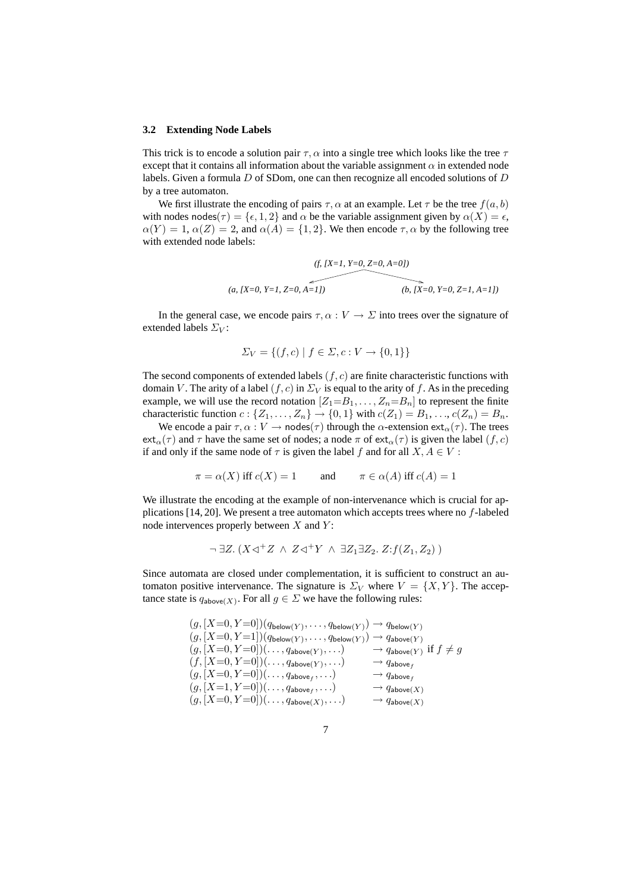#### **3.2 Extending Node Labels**

This trick is to encode a solution pair  $\tau$ ,  $\alpha$  into a single tree which looks like the tree  $\tau$ except that it contains all information about the variable assignment  $\alpha$  in extended node labels. Given a formula  $D$  of SDom, one can then recognize all encoded solutions of  $D$ by a tree automaton.

We first illustrate the encoding of pairs  $\tau$ ,  $\alpha$  at an example. Let  $\tau$  be the tree  $f(a, b)$ with nodes nodes( $\tau$ ) = { $\epsilon$ , 1, 2} and  $\alpha$  be the variable assignment given by  $\alpha(X) = \epsilon$ ,  $\alpha(Y) = 1$ ,  $\alpha(Z) = 2$ , and  $\alpha(A) = \{1, 2\}$ . We then encode  $\tau$ ,  $\alpha$  by the following tree with extended node labels:

$$
(f, [X=1, Y=0, Z=0, A=0])
$$
\n
$$
(a, [X=0, Y=1, Z=0, A=1])
$$
\n
$$
(b, [X=0, Y=0, Z=1, A=1])
$$

In the general case, we encode pairs  $\tau, \alpha : V \to \Sigma$  into trees over the signature of extended labels  $\Sigma_V$ :

$$
\Sigma_V = \{(f, c) \mid f \in \Sigma, c : V \to \{0, 1\}\}\
$$

The second components of extended labels  $(f, c)$  are finite characteristic functions with domain V. The arity of a label  $(f, c)$  in  $\Sigma_V$  is equal to the arity of f. As in the preceding example, we will use the record notation  $[Z_1=B_1, \ldots, Z_n=B_n]$  to represent the finite characteristic function  $c: \{Z_1, \ldots, Z_n\} \to \{0, 1\}$  with  $c(Z_1) = B_1, \ldots, c(Z_n) = B_n$ .

We encode a pair  $\tau, \alpha : V \to \text{nodes}(\tau)$  through the  $\alpha$ -extension ext $_{\alpha}(\tau)$ . The trees  $ext_\alpha(\tau)$  and  $\tau$  have the same set of nodes; a node  $\pi$  of  $ext_\alpha(\tau)$  is given the label  $(f, c)$ if and only if the same node of  $\tau$  is given the label f and for all  $X, A \in V$ :

$$
\pi = \alpha(X)
$$
 iff  $c(X) = 1$  and  $\pi \in \alpha(A)$  iff  $c(A) = 1$ 

We illustrate the encoding at the example of non-intervenance which is crucial for applications  $[14, 20]$ . We present a tree automaton which accepts trees where no  $f$ -labeled node intervences properly between  $X$  and  $Y$ :

$$
\neg \exists Z. (X \triangleleft^+ Z \land Z \triangleleft^+ Y \land \exists Z_1 \exists Z_2. Z : f(Z_1, Z_2))
$$

Since automata are closed under complementation, it is sufficient to construct an automaton positive intervenance. The signature is  $\Sigma_V$  where  $V = \{X, Y\}$ . The acceptance state is  $q_{\text{above}(X)}$ . For all  $g \in \Sigma$  we have the following rules:

$$
(g,[X=0,Y=0])(q_{\text{below}}(Y),\ldots,q_{\text{below}}(Y)) \rightarrow q_{\text{below}}(Y)
$$
  
\n
$$
(g,[X=0,Y=1])(q_{\text{below}}(Y),\ldots,q_{\text{below}}(Y)) \rightarrow q_{\text{above}}(Y)
$$
  
\n
$$
(g,[X=0,Y=0])(\ldots,q_{\text{above}}(Y),\ldots) \rightarrow q_{\text{above}}(Y) \text{ if } f \neq g
$$
  
\n
$$
(f,[X=0,Y=0])(\ldots,q_{\text{above}}(Y),\ldots) \rightarrow q_{\text{above}}(Y)
$$
  
\n
$$
(g,[X=0,Y=0])(\ldots,q_{\text{above}}(Y,\ldots) \rightarrow q_{\text{above}}(X)
$$
  
\n
$$
(g,[X=1,Y=0])(\ldots,q_{\text{above}}(Y),\ldots) \rightarrow q_{\text{above}}(X)
$$
  
\n
$$
(g,[X=0,Y=0])(\ldots,q_{\text{above}}(X),\ldots) \rightarrow q_{\text{above}}(X)
$$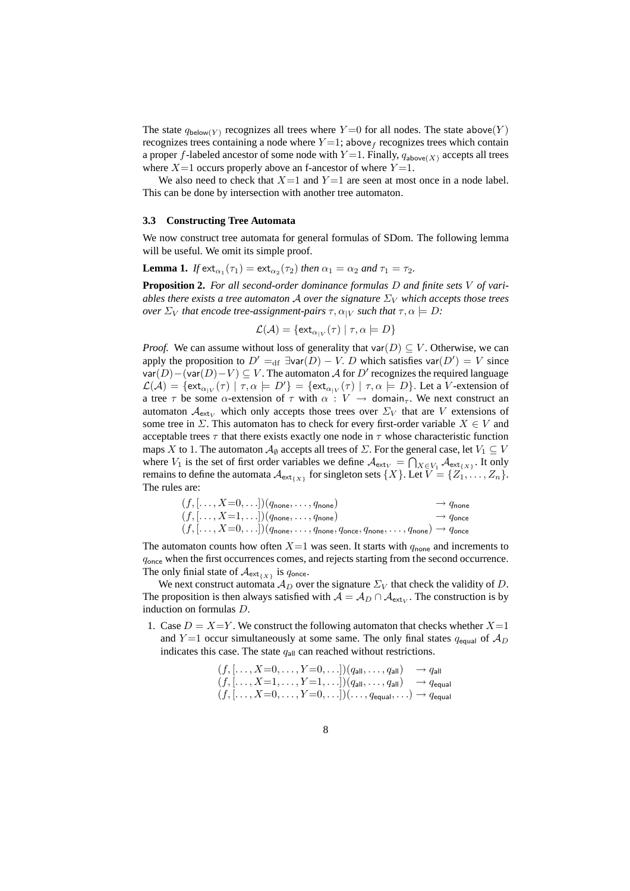The state  $q_{\text{below}(Y)}$  recognizes all trees where  $Y=0$  for all nodes. The state above $(Y)$ recognizes trees containing a node where  $Y=1$ ; above f recognizes trees which contain a proper f-labeled ancestor of some node with  $Y=1$ . Finally,  $q_{above(X)}$  accepts all trees where  $X=1$  occurs properly above an f-ancestor of where  $Y=1$ .

We also need to check that  $X=1$  and  $Y=1$  are seen at most once in a node label. This can be done by intersection with another tree automaton.

#### **3.3 Constructing Tree Automata**

We now construct tree automata for general formulas of SDom. The following lemma will be useful. We omit its simple proof.

**Lemma 1.** *If*  $ext{ext}_{\alpha_1}(\tau_1) = \text{ext}_{\alpha_2}(\tau_2)$  *then*  $\alpha_1 = \alpha_2$  *and*  $\tau_1 = \tau_2$ *.* 

**Proposition 2.** *For all second-order dominance formulas* D *and finite sets* V *of variables there exists a tree automaton* A *over the signature*  $\Sigma_V$  *which accepts those trees over*  $\Sigma_V$  *that encode tree-assignment-pairs*  $\tau, \alpha_{|V}$  *such that*  $\tau, \alpha \models D$ *:* 

$$
\mathcal{L}(\mathcal{A}) = \{ \mathsf{ext}_{\alpha_{|V}}(\tau) \mid \tau, \alpha \models D \}
$$

*Proof.* We can assume without loss of generality that var $(D) \subseteq V$ . Otherwise, we can apply the proposition to  $D' =_{df} \exists \text{var}(D) - V$ . D which satisfies var $(D') = V$  since var $(D)$  – (var $(D)$  –  $V$ )  $\subseteq$   $V$ . The automaton  $\mathcal A$  for  $D'$  recognizes the required language  $\mathcal{L}(\mathcal{A}) = \{ \text{ext}_{\alpha_{|V}}(\tau) \mid \tau, \alpha \models D' \} = \{ \text{ext}_{\alpha_{|V}}(\tau) \mid \tau, \alpha \models D \}.$  Let a V-extension of a tree  $\tau$  be some  $\alpha$ -extension of  $\tau$  with  $\alpha : V \to$  domain<sub> $\tau$ </sub>. We next construct an automaton  $\mathcal{A}_{extv}$  which only accepts those trees over  $\Sigma_V$  that are V extensions of some tree in  $\Sigma$ . This automaton has to check for every first-order variable  $X \in V$  and acceptable trees  $\tau$  that there exists exactly one node in  $\tau$  whose characteristic function maps X to 1. The automaton  $\mathcal{A}_{\emptyset}$  accepts all trees of  $\Sigma$ . For the general case, let  $V_1 \subseteq V$ where  $V_1$  is the set of first order variables we define  $\mathcal{A}_{ext_V} = \bigcap_{X \in V_1} \mathcal{A}_{ext_{\{X\}}}$ . It only remains to define the automata  $\mathcal{A}_{ext_{\{X\}}}$  for singleton sets  $\{X\}$ . Let  $V = \{Z_1, \ldots, Z_n\}$ . The rules are:

| $(f, [\ldots, X=0,\ldots])(q_{\text{none}}, \ldots, q_{\text{none}})$                                                                                        | $\rightarrow q_{\text{none}}$ |
|--------------------------------------------------------------------------------------------------------------------------------------------------------------|-------------------------------|
| $(f, [\ldots, X=1, \ldots]) (q_{\text{none}}, \ldots, q_{\text{none}})$                                                                                      | $\rightarrow q_{\text{once}}$ |
| $(f, [\ldots, X=0,\ldots])(q_{\text{none}}, \ldots, q_{\text{none}}, q_{\text{once}}, q_{\text{none}}, \ldots, q_{\text{none}}) \rightarrow q_{\text{once}}$ |                               |

The automaton counts how often  $X=1$  was seen. It starts with  $q_{\text{none}}$  and increments to qonce when the first occurrences comes, and rejects starting from the second occurrence. The only finial state of  $\mathcal{A}_{ext_{\{X\}}}$  is  $q_{\text{once}}$ .

We next construct automata  $\mathcal{A}_D$  over the signature  $\Sigma_V$  that check the validity of D. The proposition is then always satisfied with  $A = A_D \cap A_{ext_V}$ . The construction is by induction on formulas D.

1. Case  $D = X=Y$ . We construct the following automaton that checks whether  $X=1$ and Y = 1 occur simultaneously at some same. The only final states  $q_{equal}$  of  $A_D$ indicates this case. The state  $q_{all}$  can reached without restrictions.

> $(f, [\ldots, X=0, \ldots, Y=0, \ldots]) (q_{\text{all}}, \ldots, q_{\text{all}}) \rightarrow q_{\text{all}}$  $(f, \ldots, X=1, \ldots, Y=1, \ldots])$  $(q_{\mathsf{all}}, \ldots, q_{\mathsf{all}}) \rightarrow q_{\mathsf{equal}}$  $(f, \ldots, X=0, \ldots, Y=0, \ldots]) (\ldots, q_{\text{equal}}, \ldots) \rightarrow q_{\text{equal}}$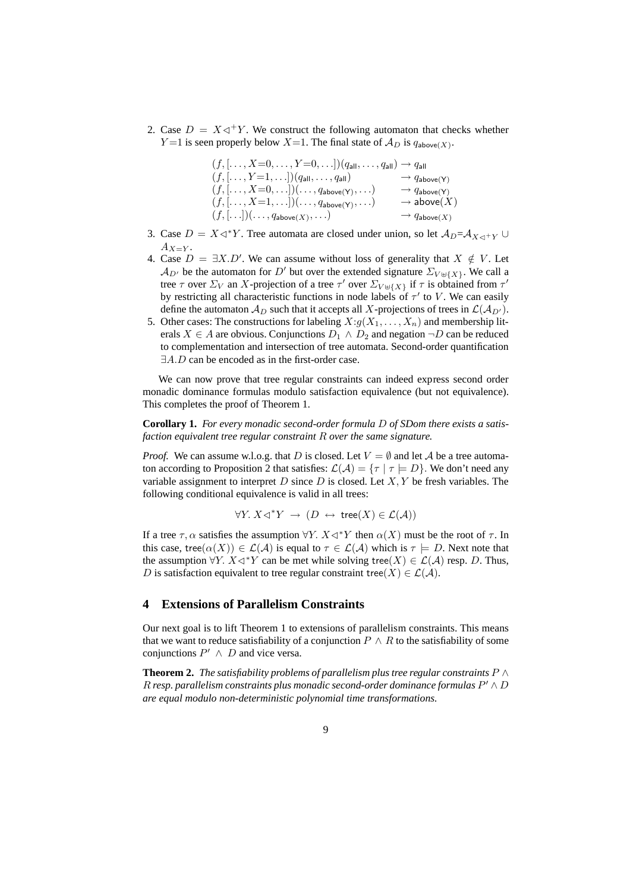2. Case  $D = X \triangleleft^+ Y$ . We construct the following automaton that checks whether  $Y=1$  is seen properly below  $X=1$ . The final state of  $\mathcal{A}_D$  is  $q_{\text{above}(X)}$ .

| $(f, [\ldots, X=0, \ldots, Y=0, \ldots]) (q_{all}, \ldots, q_{all}) \rightarrow q_{all}$ |                                     |
|------------------------------------------------------------------------------------------|-------------------------------------|
| $(f, [\ldots, Y=1, \ldots]) (q_{all}, \ldots, q_{all})$                                  | $\rightarrow$ $q_{\text{above}}(Y)$ |
| $(f, [\ldots, X=0, \ldots]) (\ldots, q_{\text{above}(Y)}, \ldots)$                       | $\rightarrow$ $q_{\text{above}}(Y)$ |
| $(f, [\ldots, X=1, \ldots])(\ldots, q_{\text{above}(Y)}, \ldots)$                        | $\rightarrow$ above $(X)$           |
| $(f, [\ldots])(\ldots, q_{\text{above}(X)}, \ldots)$                                     | $\rightarrow$ $q_{\text{above}(X)}$ |

- 3. Case  $D = X \triangleleft^* Y$ . Tree automata are closed under union, so let  $\mathcal{A}_D = \mathcal{A}_{X \triangleleft^* Y} \cup$  $A_{X=Y}$ .
- 4. Case  $D = \exists X.D'$ . We can assume without loss of generality that  $X \notin V$ . Let  $A_{D'}$  be the automaton for D' but over the extended signature  $\Sigma_{V \uplus \{X\}}$ . We call a tree  $\tau$  over  $\Sigma_V$  an X-projection of a tree  $\tau'$  over  $\Sigma_{V \oplus \{X\}}$  if  $\tau$  is obtained from  $\tau'$ by restricting all characteristic functions in node labels of  $\tau'$  to V. We can easily define the automaton  $\mathcal{A}_D$  such that it accepts all X-projections of trees in  $\mathcal{L}(\mathcal{A}_{D'})$ .
- 5. Other cases: The constructions for labeling  $X:g(X_1,\ldots,X_n)$  and membership literals  $X \in A$  are obvious. Conjunctions  $D_1 \wedge D_2$  and negation  $\neg D$  can be reduced to complementation and intersection of tree automata. Second-order quantification ∃A.D can be encoded as in the first-order case.

We can now prove that tree regular constraints can indeed express second order monadic dominance formulas modulo satisfaction equivalence (but not equivalence). This completes the proof of Theorem 1.

**Corollary 1.** *For every monadic second-order formula* D *of SDom there exists a satisfaction equivalent tree regular constraint* R *over the same signature.*

*Proof.* We can assume w.l.o.g. that D is closed. Let  $V = \emptyset$  and let A be a tree automaton according to Proposition 2 that satisfies:  $\mathcal{L}(\mathcal{A}) = \{ \tau \mid \tau \models D \}$ . We don't need any variable assignment to interpret D since D is closed. Let  $X, Y$  be fresh variables. The following conditional equivalence is valid in all trees:

$$
\forall Y. \ X \triangleleft^* Y \ \to \ (D \ \leftrightarrow \ \text{tree}(X) \in \mathcal{L}(\mathcal{A}))
$$

If a tree  $\tau$ ,  $\alpha$  satisfies the assumption  $\forall Y$ .  $X \triangleleft^* Y$  then  $\alpha(X)$  must be the root of  $\tau$ . In this case, tree $(\alpha(X)) \in \mathcal{L}(\mathcal{A})$  is equal to  $\tau \in \mathcal{L}(\mathcal{A})$  which is  $\tau \models D$ . Next note that the assumption  $\forall Y. X \triangleleft^* Y$  can be met while solving tree(X)  $\in \mathcal{L}(\mathcal{A})$  resp. D. Thus, D is satisfaction equivalent to tree regular constraint tree(X)  $\in \mathcal{L}(\mathcal{A})$ .

### **4 Extensions of Parallelism Constraints**

Our next goal is to lift Theorem 1 to extensions of parallelism constraints. This means that we want to reduce satisfiability of a conjunction  $P \wedge R$  to the satisfiability of some conjunctions  $P' \wedge D$  and vice versa.

**Theorem 2.** *The satisfiability problems of parallelism plus tree regular constraints*  $P \wedge$  $R$  resp. parallelism constraints plus monadic second-order dominance formulas  $P' \wedge D$ *are equal modulo non-deterministic polynomial time transformations.*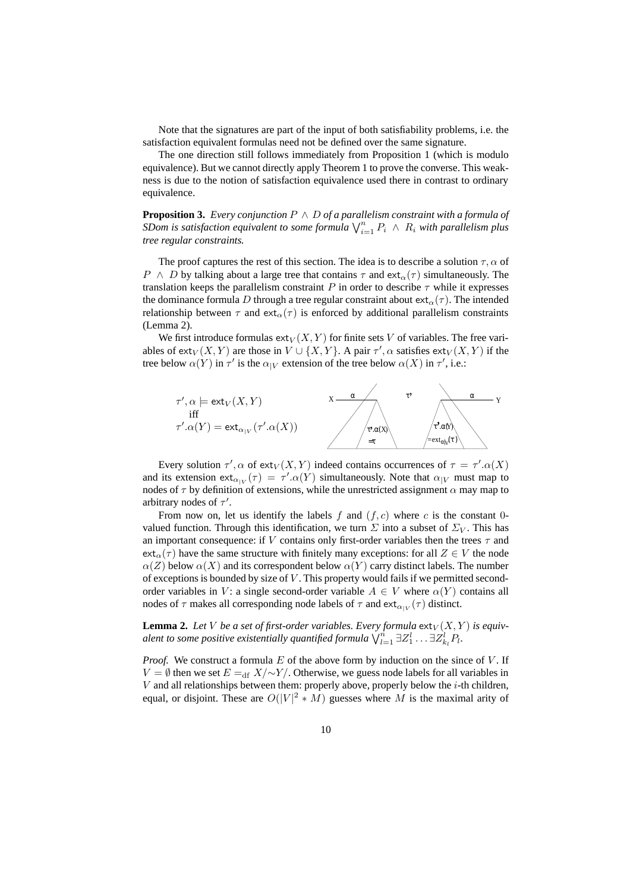Note that the signatures are part of the input of both satisfiability problems, i.e. the satisfaction equivalent formulas need not be defined over the same signature.

The one direction still follows immediately from Proposition 1 (which is modulo equivalence). But we cannot directly apply Theorem 1 to prove the converse. This weakness is due to the notion of satisfaction equivalence used there in contrast to ordinary equivalence.

**Proposition 3.** *Every conjunction* P ∧ D *of a parallelism constraint with a formula of SDom is satisfaction equivalent to some formula*  $\bigvee_{i=1}^{n} P_i \wedge R_i$  *with parallelism plus tree regular constraints.*

The proof captures the rest of this section. The idea is to describe a solution  $\tau$ ,  $\alpha$  of P  $\land$  D by talking about a large tree that contains  $\tau$  and ext<sub> $\alpha(\tau)$ </sub> simultaneously. The translation keeps the parallelism constraint P in order to describe  $\tau$  while it expresses the dominance formula D through a tree regular constraint about  $ext_{\alpha}(\tau)$ . The intended relationship between  $\tau$  and ext<sub>α</sub>( $\tau$ ) is enforced by additional parallelism constraints (Lemma 2).

We first introduce formulas  $ext_V(X, Y)$  for finite sets V of variables. The free variables of  $ext_V(X, Y)$  are those in  $V \cup \{X, Y\}$ . A pair  $\tau'$ ,  $\alpha$  satisfies  $ext_V(X, Y)$  if the tree below  $\alpha(Y)$  in  $\tau'$  is the  $\alpha_{|V}$  extension of the tree below  $\alpha(X)$  in  $\tau'$ , i.e.:



Every solution  $\tau'$ ,  $\alpha$  of ext $_V(X, Y)$  indeed contains occurrences of  $\tau = \tau'$ . $\alpha(X)$ and its extension  $ext{ext}_{\alpha|V}(\tau) = \tau'.\alpha(Y)$  simultaneously. Note that  $\alpha|_V$  must map to nodes of  $\tau$  by definition of extensions, while the unrestricted assignment  $\alpha$  may map to arbitrary nodes of  $\tau'$ .

From now on, let us identify the labels f and  $(f, c)$  where c is the constant 0valued function. Through this identification, we turn  $\Sigma$  into a subset of  $\Sigma_V$ . This has an important consequence: if V contains only first-order variables then the trees  $\tau$  and  $ext_{\alpha}(\tau)$  have the same structure with finitely many exceptions: for all  $Z \in V$  the node  $\alpha(Z)$  below  $\alpha(X)$  and its correspondent below  $\alpha(Y)$  carry distinct labels. The number of exceptions is bounded by size of  $V$ . This property would fails if we permitted secondorder variables in V: a single second-order variable  $A \in V$  where  $\alpha(Y)$  contains all nodes of  $\tau$  makes all corresponding node labels of  $\tau$  and  $ext{ext}_{\alpha|V}(\tau)$  distinct.

**Lemma 2.** Let V be a set of first-order variables. Every formula  $ext{ext}_{V}(X, Y)$  is equiv*alent to some positive existentially quantified formula*  $\bigvee_{l=1}^{n} \exists Z_{1}^{l} \dots \exists Z_{k_{l}}^{l} P_{l}$ .

*Proof.* We construct a formula  $E$  of the above form by induction on the since of  $V$ . If  $V = ∅$  then we set  $E =_{df} X / ∼Y /$ . Otherwise, we guess node labels for all variables in  $V$  and all relationships between them: properly above, properly below the  $i$ -th children, equal, or disjoint. These are  $O(|V|^2 * M)$  guesses where M is the maximal arity of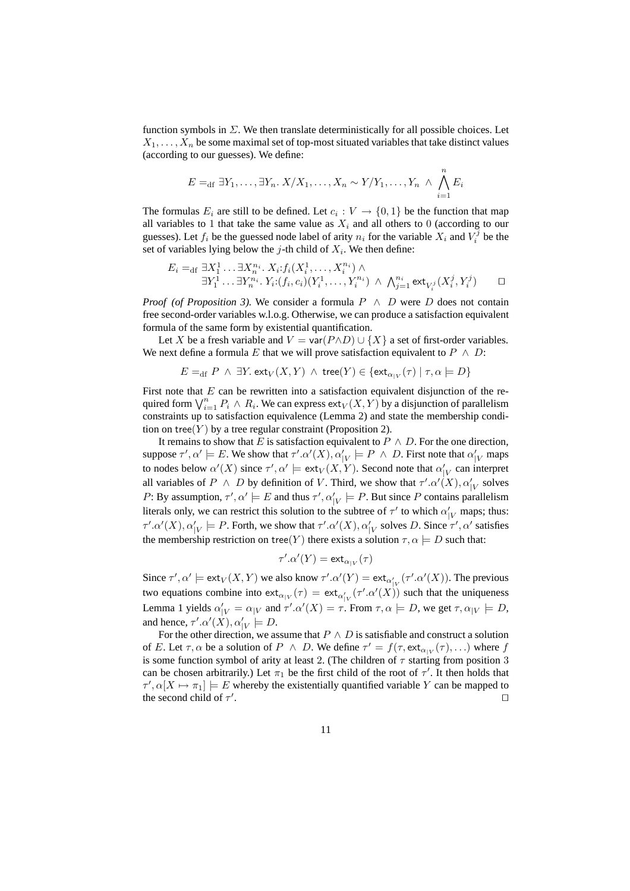function symbols in  $\Sigma$ . We then translate deterministically for all possible choices. Let  $X_1, \ldots, X_n$  be some maximal set of top-most situated variables that take distinct values (according to our guesses). We define:

$$
E =_{\text{df}} \exists Y_1, \ldots, \exists Y_n. \ X/X_1, \ldots, X_n \sim Y/Y_1, \ldots, Y_n \land \bigwedge_{i=1}^n E_i
$$

The formulas  $E_i$  are still to be defined. Let  $c_i: V \to \{0,1\}$  be the function that map all variables to 1 that take the same value as  $X_i$  and all others to 0 (according to our guesses). Let  $f_i$  be the guessed node label of arity  $n_i$  for the variable  $X_i$  and  $V_i^j$  be the set of variables lying below the j-th child of  $X_i$ . We then define:

$$
E_i =_{\text{df}} \exists X_1^1 \dots \exists X_n^{n_i} \dots X_i : f_i(X_i^1, \dots, X_i^{n_i}) \land \exists Y_1^1 \dots \exists Y_n^{n_i} \dots Y_i : (f_i, c_i)(Y_i^1, \dots, Y_i^{n_i}) \land \bigwedge_{j=1}^{n_i} \text{ext}_{V_i^j}(X_i^j, Y_i^j) \qquad \Box
$$

*Proof (of Proposition 3).* We consider a formula  $P \wedge D$  were D does not contain free second-order variables w.l.o.g. Otherwise, we can produce a satisfaction equivalent formula of the same form by existential quantification.

Let X be a fresh variable and  $V = \text{var}(P \land D) \cup \{X\}$  a set of first-order variables. We next define a formula E that we will prove satisfaction equivalent to  $P \wedge D$ :

$$
E =_{\text{df}} P \land \exists Y. \text{ext}_V(X, Y) \land \text{tree}(Y) \in \{\text{ext}_{\alpha_{|V}}(\tau) \mid \tau, \alpha \models D\}
$$

First note that  $E$  can be rewritten into a satisfaction equivalent disjunction of the required form  $\bigvee_{i=1}^{n} P_i \wedge R_i$ . We can express  $ext_V(X, Y)$  by a disjunction of parallelism constraints up to satisfaction equivalence (Lemma 2) and state the membership condition on tree $(Y)$  by a tree regular constraint (Proposition 2).

It remains to show that E is satisfaction equivalent to  $P \wedge D$ . For the one direction, suppose  $\tau', \alpha' \models E$ . We show that  $\tau'.\alpha'(X), \alpha'_{|V} \models P \land D$ . First note that  $\alpha'_{|V}$  maps to nodes below  $\alpha'(X)$  since  $\tau', \alpha' \models \text{ext}_V(X, Y)$ . Second note that  $\alpha'_{|V}$  can interpret all variables of  $P \wedge D$  by definition of V. Third, we show that  $\tau'.\alpha'(X), \alpha'_{|V}$  solves P: By assumption,  $\tau', \alpha' \models E$  and thus  $\tau', \alpha'_{|V} \models P$ . But since P contains parallelism literals only, we can restrict this solution to the subtree of  $\tau'$  to which  $\alpha'_{|V}$  maps; thus:  $\tau'.\alpha'(X),\alpha'_{|V} \models P$ . Forth, we show that  $\tau'.\alpha'(X),\alpha'_{|V}$  solves D. Since  $\tau',\alpha'$  satisfies the membership restriction on tree(Y) there exists a solution  $\tau, \alpha \models D$  such that:

$$
\tau'.\alpha'(Y) = \mathsf{ext}_{\alpha_{|V}}(\tau)
$$

Since  $\tau', \alpha' \models \text{ext}_{V}(X, Y)$  we also know  $\tau'.\alpha'(Y) = \text{ext}_{\alpha'_{|V}}(\tau'.\alpha'(X))$ . The previous two equations combine into  $ext_{\alpha_{|V}}(\tau) = ext_{\alpha'_{|V}}(\tau'.\alpha'(X))$  such that the uniqueness Lemma 1 yields  $\alpha'_{|V} = \alpha_{|V}$  and  $\tau'.\alpha'(X) = \tau$ . From  $\tau, \alpha \models D$ , we get  $\tau, \alpha_{|V} \models D$ , and hence,  $\tau' . \alpha'(X), \alpha'_{|V} \models D$ .

For the other direction, we assume that  $P \wedge D$  is satisfiable and construct a solution of E. Let  $\tau, \alpha$  be a solution of  $P \land D$ . We define  $\tau' = f(\tau, \text{ext}_{\alpha|V}(\tau), \ldots)$  where f is some function symbol of arity at least 2. (The children of  $\tau$  starting from position 3 can be chosen arbitrarily.) Let  $\pi_1$  be the first child of the root of  $\tau'$ . It then holds that  $\tau', \alpha[X \mapsto \pi_1] \models E$  whereby the existentially quantified variable Y can be mapped to the second child of  $\tau'$ . ⊓⊔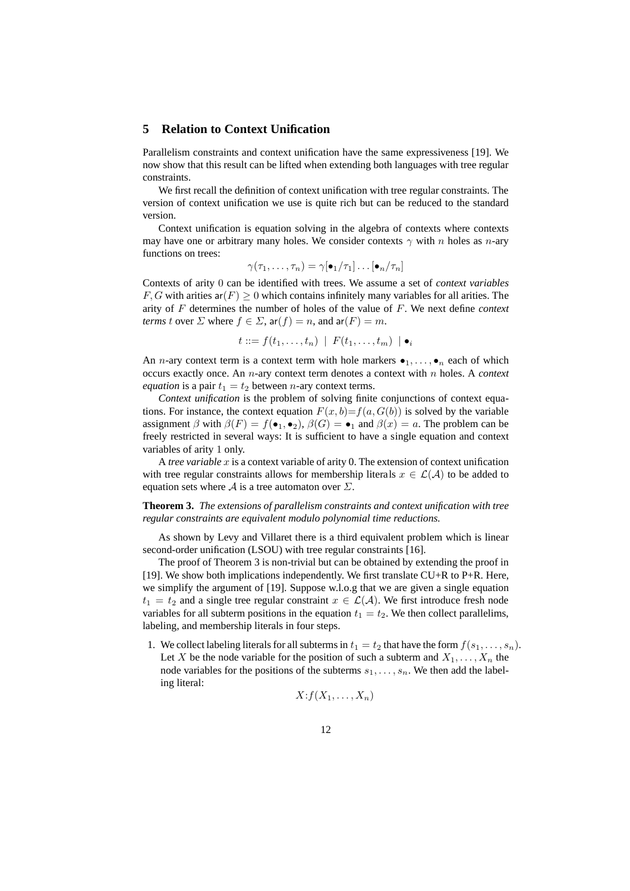## **5 Relation to Context Unification**

Parallelism constraints and context unification have the same expressiveness [19]. We now show that this result can be lifted when extending both languages with tree regular constraints.

We first recall the definition of context unification with tree regular constraints. The version of context unification we use is quite rich but can be reduced to the standard version.

Context unification is equation solving in the algebra of contexts where contexts may have one or arbitrary many holes. We consider contexts  $\gamma$  with n holes as n-ary functions on trees:

$$
\gamma(\tau_1,\ldots,\tau_n)=\gamma[\bullet_1/\tau_1]\ldots[\bullet_n/\tau_n]
$$

Contexts of arity 0 can be identified with trees. We assume a set of *context variables*  $F, G$  with arities ar $(F) \geq 0$  which contains infinitely many variables for all arities. The arity of F determines the number of holes of the value of F. We next define *context terms* t over  $\Sigma$  where  $f \in \Sigma$ ,  $ar(f) = n$ , and  $ar(F) = m$ .

$$
t ::= f(t_1, \ldots, t_n) \mid F(t_1, \ldots, t_m) \mid \bullet_i
$$

An *n*-ary context term is a context term with hole markers  $\bullet_1, \ldots, \bullet_n$  each of which occurs exactly once. An n-ary context term denotes a context with n holes. A *context equation* is a pair  $t_1 = t_2$  between *n*-ary context terms.

*Context unification* is the problem of solving finite conjunctions of context equations. For instance, the context equation  $F(x, b)=f(a, G(b))$  is solved by the variable assignment  $\beta$  with  $\beta(F) = f(\bullet_1, \bullet_2), \beta(G) = \bullet_1$  and  $\beta(x) = a$ . The problem can be freely restricted in several ways: It is sufficient to have a single equation and context variables of arity 1 only.

A *tree variable* x is a context variable of arity 0. The extension of context unification with tree regular constraints allows for membership literals  $x \in \mathcal{L}(\mathcal{A})$  to be added to equation sets where A is a tree automaton over  $\Sigma$ .

**Theorem 3.** *The extensions of parallelism constraints and context unification with tree regular constraints are equivalent modulo polynomial time reductions.*

As shown by Levy and Villaret there is a third equivalent problem which is linear second-order unification (LSOU) with tree regular constraints [16].

The proof of Theorem 3 is non-trivial but can be obtained by extending the proof in [19]. We show both implications independently. We first translate CU+R to P+R. Here, we simplify the argument of [19]. Suppose w.l.o.g that we are given a single equation  $t_1 = t_2$  and a single tree regular constraint  $x \in \mathcal{L}(\mathcal{A})$ . We first introduce fresh node variables for all subterm positions in the equation  $t_1 = t_2$ . We then collect parallelims, labeling, and membership literals in four steps.

1. We collect labeling literals for all subterms in  $t_1 = t_2$  that have the form  $f(s_1, \ldots, s_n)$ . Let X be the node variable for the position of such a subterm and  $X_1, \ldots, X_n$  the node variables for the positions of the subterms  $s_1, \ldots, s_n$ . We then add the labeling literal:

$$
X: f(X_1,\ldots,X_n)
$$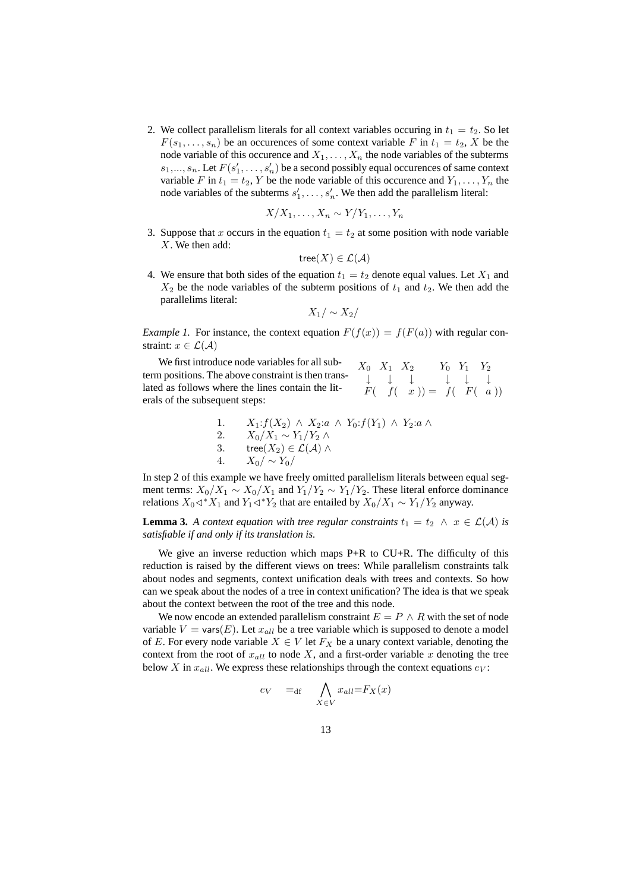2. We collect parallelism literals for all context variables occuring in  $t_1 = t_2$ . So let  $F(s_1, \ldots, s_n)$  be an occurences of some context variable F in  $t_1 = t_2$ , X be the node variable of this occurence and  $X_1, \ldots, X_n$  the node variables of the subterms  $s_1, \ldots, s_n$ . Let  $F(s'_1, \ldots, s'_n)$  be a second possibly equal occurences of same context variable F in  $t_1 = t_2$ , Y be the node variable of this occurence and  $Y_1, \ldots, Y_n$  the node variables of the subterms  $s'_1, \ldots, s'_n$ . We then add the parallelism literal:

$$
X/X_1, \ldots, X_n \sim Y/Y_1, \ldots, Y_n
$$

3. Suppose that x occurs in the equation  $t_1 = t_2$  at some position with node variable X. We then add:

$$
\mathsf{tree}(X) \in \mathcal{L}(\mathcal{A})
$$

4. We ensure that both sides of the equation  $t_1 = t_2$  denote equal values. Let  $X_1$  and  $X_2$  be the node variables of the subterm positions of  $t_1$  and  $t_2$ . We then add the parallelims literal:

$$
X_1/\sim X_2/
$$

*Example 1.* For instance, the context equation  $F(f(x)) = f(F(a))$  with regular constraint:  $x \in \mathcal{L}(\mathcal{A})$ 

 $X_0$   $X_1$   $X_2$   $Y_0$   $Y_1$   $Y_2$ ↓ ↓ ↓ ↓ ↓ ↓  $F( f(x)) = f( F(a))$ We first introduce node variables for all subterm positions. The above constraint is then translated as follows where the lines contain the literals of the subsequent steps:

1. 
$$
X_1: f(X_2) \wedge X_2: a \wedge Y_0: f(Y_1) \wedge Y_2: a \wedge Z_1 \wedge X_1 \wedge Y_1 \wedge Y_2 \wedge Z_1 \wedge Y_1 \wedge Y_2 \wedge Z_1 \wedge Z_1 \wedge Z_1 \wedge Z_1 \wedge Z_1 \wedge Z_1 \wedge Z_1 \wedge Z_1 \wedge Z_1 \wedge Z_1 \wedge Z_1 \wedge Z_1 \wedge Z_1 \wedge Z_1 \wedge Z_1 \wedge Z_1 \wedge Z_1 \wedge Z_1 \wedge Z_1 \wedge Z_1 \wedge Z_1 \wedge Z_1 \wedge Z_1 \wedge Z_1 \wedge Z_1 \wedge Z_1 \wedge Z_1 \wedge Z_1 \wedge Z_1 \wedge Z_1 \wedge Z_1 \wedge Z_1 \wedge Z_1 \wedge Z_1 \wedge Z_1 \wedge Z_1 \wedge Z_1 \wedge Z_1 \wedge Z_1 \wedge Z_1 \wedge Z_1 \wedge Z_1 \wedge Z_1 \wedge Z_1 \wedge Z_1 \wedge Z_1 \wedge Z_1 \wedge Z_1 \wedge Z_1 \wedge Z_1 \wedge Z_1 \wedge Z_1 \wedge Z_1 \wedge Z_1 \wedge Z_1 \wedge Z_1 \wedge Z_1 \wedge Z_1 \wedge Z_1 \wedge Z_1 \wedge Z_1 \wedge Z_1 \wedge Z_1 \wedge Z_1 \wedge Z_1 \wedge Z_1 \wedge Z_1 \wedge Z_1 \wedge Z_1 \wedge Z_1 \wedge Z_1 \wedge Z_1 \wedge Z_1 \wedge Z_1 \wedge Z_1 \wedge Z_1 \wedge Z_1 \wedge Z_1 \wedge Z_1 \wedge Z_1 \wedge Z_1 \wedge Z_1 \wedge Z_1 \wedge Z_1 \wedge Z_1 \wedge Z_1 \wedge Z_1 \wedge Z_1 \wedge Z_1 \wedge Z_1 \wedge Z_1 \wedge Z_1 \wedge Z_1 \wedge Z_1 \wedge Z_1 \wedge Z_1 \wedge Z_1 \wedge Z_1 \wedge Z_1 \wedge Z_1 \wedge Z_1 \wedge Z_1 \wedge Z_1 \wedge Z_1 \wedge Z_1 \wedge Z_1 \wedge Z_1 \wedge Z_1 \wedge Z_1 \wedge Z_1 \wedge Z_1 \wedge Z_1 \wedge Z_1
$$

In step 2 of this example we have freely omitted parallelism literals between equal segment terms:  $X_0/X_1 \sim X_0/X_1$  and  $Y_1/Y_2 \sim Y_1/Y_2$ . These literal enforce dominance relations  $X_0 \triangleleft^* X_1$  and  $Y_1 \triangleleft^* Y_2$  that are entailed by  $X_0/X_1 \sim Y_1/Y_2$  anyway.

**Lemma 3.** *A context equation with tree regular constraints*  $t_1 = t_2 \land x \in \mathcal{L}(\mathcal{A})$  *is satisfiable if and only if its translation is.*

We give an inverse reduction which maps  $P+R$  to  $CU+R$ . The difficulty of this reduction is raised by the different views on trees: While parallelism constraints talk about nodes and segments, context unification deals with trees and contexts. So how can we speak about the nodes of a tree in context unification? The idea is that we speak about the context between the root of the tree and this node.

We now encode an extended parallelism constraint  $E = P \wedge R$  with the set of node variable  $V = \text{vars}(E)$ . Let  $x_{all}$  be a tree variable which is supposed to denote a model of E. For every node variable  $X \in V$  let  $F_X$  be a unary context variable, denoting the context from the root of  $x_{all}$  to node X, and a first-order variable x denoting the tree below X in  $x_{all}$ . We express these relationships through the context equations  $e_V$ :

$$
e_V =_{df} \bigwedge_{X \in V} x_{all} = F_X(x)
$$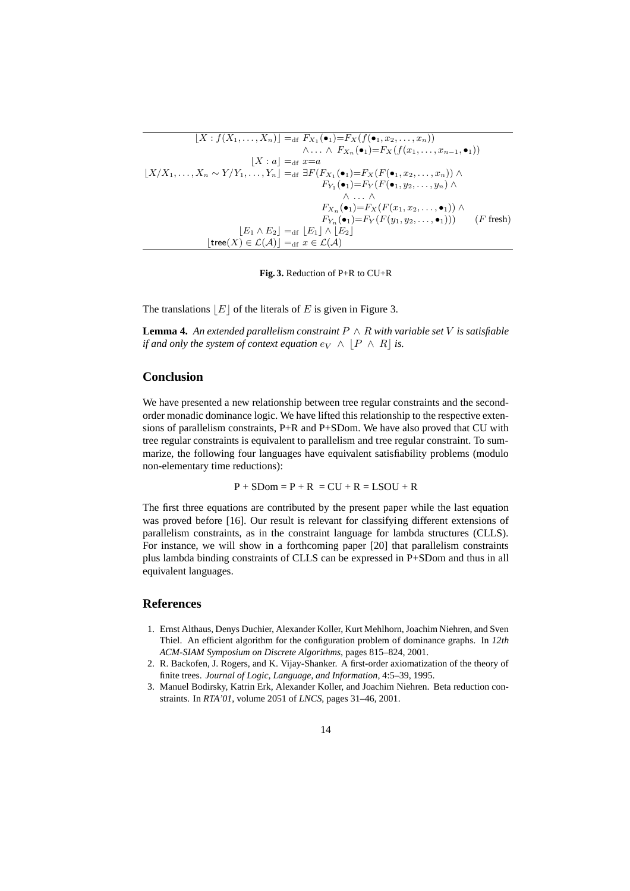| $\wedge \ldots \wedge F_{X_n}(\bullet_1) = F_X(f(x_1, \ldots, x_{n-1}, \bullet_1))$ |
|-------------------------------------------------------------------------------------|
|                                                                                     |
|                                                                                     |
|                                                                                     |
|                                                                                     |
|                                                                                     |
| $F_{Y_n}(\bullet_1)=F_Y(F(y_1, y_2, \dots, \bullet_1)))$ ( <i>F</i> fresh)          |
|                                                                                     |
|                                                                                     |
|                                                                                     |

**Fig. 3.** Reduction of P+R to CU+R

The translations  $|E|$  of the literals of E is given in Figure 3.

**Lemma 4.** An extended parallelism constraint  $P \wedge R$  with variable set V is satisfiable *if and only the system of context equation*  $e_V \wedge |P \wedge R|$  *is.* 

## **Conclusion**

We have presented a new relationship between tree regular constraints and the secondorder monadic dominance logic. We have lifted this relationship to the respective extensions of parallelism constraints, P+R and P+SDom. We have also proved that CU with tree regular constraints is equivalent to parallelism and tree regular constraint. To summarize, the following four languages have equivalent satisfiability problems (modulo non-elementary time reductions):

$$
P + SDom = P + R = CU + R = LSOU + R
$$

The first three equations are contributed by the present paper while the last equation was proved before [16]. Our result is relevant for classifying different extensions of parallelism constraints, as in the constraint language for lambda structures (CLLS). For instance, we will show in a forthcoming paper [20] that parallelism constraints plus lambda binding constraints of CLLS can be expressed in P+SDom and thus in all equivalent languages.

## **References**

- 1. Ernst Althaus, Denys Duchier, Alexander Koller, Kurt Mehlhorn, Joachim Niehren, and Sven Thiel. An efficient algorithm for the configuration problem of dominance graphs. In *12th ACM-SIAM Symposium on Discrete Algorithms*, pages 815–824, 2001.
- 2. R. Backofen, J. Rogers, and K. Vijay-Shanker. A first-order axiomatization of the theory of finite trees. *Journal of Logic, Language, and Information*, 4:5–39, 1995.
- 3. Manuel Bodirsky, Katrin Erk, Alexander Koller, and Joachim Niehren. Beta reduction constraints. In *RTA'01*, volume 2051 of *LNCS*, pages 31–46, 2001.